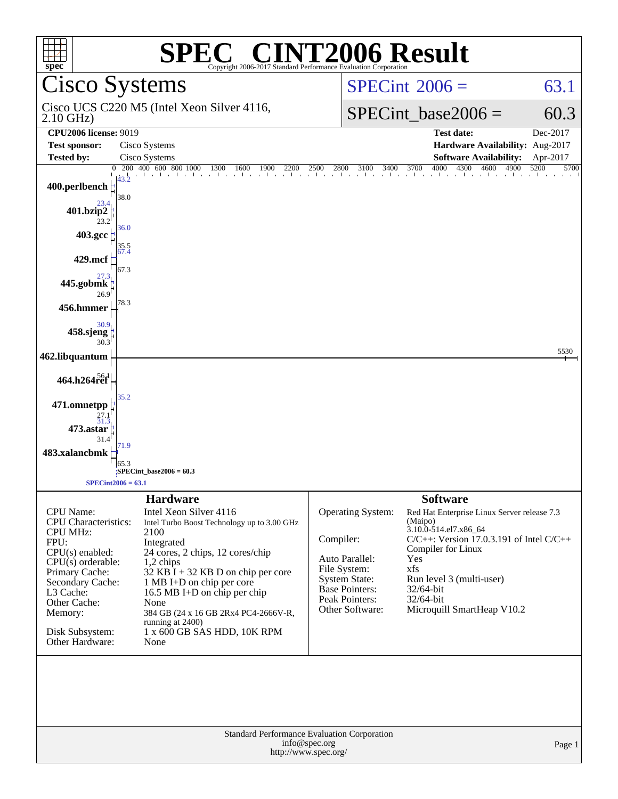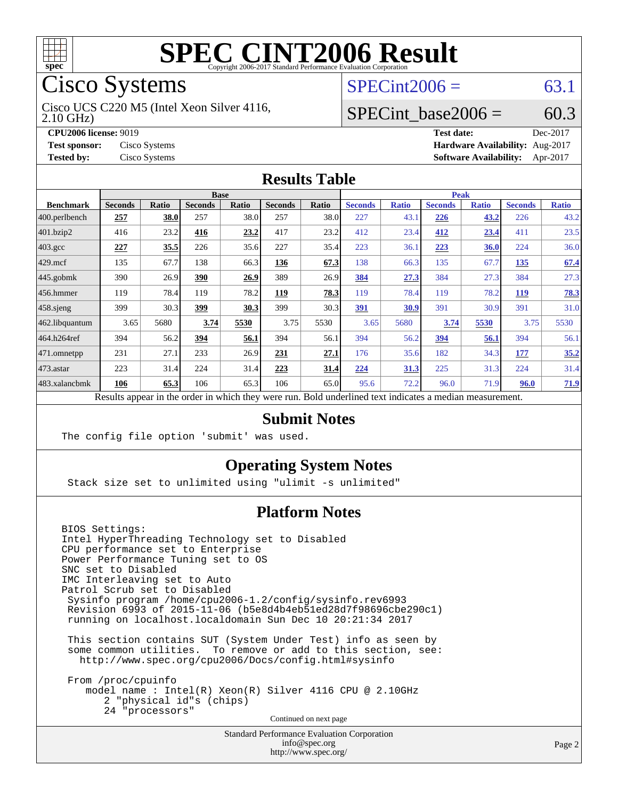

# Cisco Systems

2.10 GHz) Cisco UCS C220 M5 (Intel Xeon Silver 4116,

**[Tested by:](http://www.spec.org/auto/cpu2006/Docs/result-fields.html#Testedby)** Cisco Systems **[Software Availability:](http://www.spec.org/auto/cpu2006/Docs/result-fields.html#SoftwareAvailability)** Apr-2017

## $SPECint2006 = 63.1$  $SPECint2006 = 63.1$

#### SPECint base2006 =  $60.3$

**[CPU2006 license:](http://www.spec.org/auto/cpu2006/Docs/result-fields.html#CPU2006license)** 9019 **[Test date:](http://www.spec.org/auto/cpu2006/Docs/result-fields.html#Testdate)** Dec-2017 **[Test sponsor:](http://www.spec.org/auto/cpu2006/Docs/result-fields.html#Testsponsor)** Cisco Systems **[Hardware Availability:](http://www.spec.org/auto/cpu2006/Docs/result-fields.html#HardwareAvailability)** Aug-2017

#### **[Results Table](http://www.spec.org/auto/cpu2006/Docs/result-fields.html#ResultsTable)**

|                    | <b>Base</b>                                                                                              |              |                |       |                |       |                | <b>Peak</b>  |                |              |                |              |  |
|--------------------|----------------------------------------------------------------------------------------------------------|--------------|----------------|-------|----------------|-------|----------------|--------------|----------------|--------------|----------------|--------------|--|
| <b>Benchmark</b>   | <b>Seconds</b>                                                                                           | <b>Ratio</b> | <b>Seconds</b> | Ratio | <b>Seconds</b> | Ratio | <b>Seconds</b> | <b>Ratio</b> | <b>Seconds</b> | <b>Ratio</b> | <b>Seconds</b> | <b>Ratio</b> |  |
| 400.perlbench      | 257                                                                                                      | 38.0         | 257            | 38.0  | 257            | 38.0  | 227            | 43.1         | 226            | 43.2         | 226            | 43.2         |  |
| 401.bzip2          | 416                                                                                                      | 23.2         | 416            | 23.2  | 417            | 23.2  | 412            | 23.4         | 412            | 23.4         | 411            | 23.5         |  |
| $403.\mathrm{gcc}$ | 227                                                                                                      | 35.5         | 226            | 35.6  | 227            | 35.4  | 223            | 36.1         | 223            | 36.0         | 224            | 36.0         |  |
| $429$ mcf          | 135                                                                                                      | 67.7         | 138            | 66.3  | 136            | 67.3  | 138            | 66.3         | 135            | 67.7         | 135            | 67.4         |  |
| $445$ .gobmk       | 390                                                                                                      | 26.9         | 390            | 26.9  | 389            | 26.9  | 384            | 27.3         | 384            | 27.3         | 384            | 27.3         |  |
| $ 456$ .hmmer      | 119                                                                                                      | 78.4         | 119            | 78.2  | 119            | 78.3  | 119            | 78.4         | 119            | 78.2         | 119            | 78.3         |  |
| $458$ .sjeng       | 399                                                                                                      | 30.3         | 399            | 30.3  | 399            | 30.3  | 391            | 30.9         | 391            | 30.9         | 391            | 31.0         |  |
| 462.libquantum     | 3.65                                                                                                     | 5680         | 3.74           | 5530  | 3.75           | 5530  | 3.65           | 5680         | 3.74           | 5530         | 3.75           | 5530         |  |
| 464.h264ref        | 394                                                                                                      | 56.2         | 394            | 56.1  | 394            | 56.1  | 394            | 56.2         | 394            | 56.1         | 394            | 56.1         |  |
| 471.omnetpp        | 231                                                                                                      | 27.1         | 233            | 26.9  | 231            | 27.1  | 176            | 35.6         | 182            | 34.3         | 177            | 35.2         |  |
| $ 473$ . astar     | 223                                                                                                      | 31.4         | 224            | 31.4  | 223            | 31.4  | 224            | 31.3         | 225            | 31.3         | 224            | 31.4         |  |
| 483.xalancbmk      | 106                                                                                                      | 65.3         | 106            | 65.3  | 106            | 65.0  | 95.6           | 72.2         | 96.0           | 71.9         | 96.0           | 71.9         |  |
|                    | Results appear in the order in which they were run. Bold underlined text indicates a median measurement. |              |                |       |                |       |                |              |                |              |                |              |  |

#### **[Submit Notes](http://www.spec.org/auto/cpu2006/Docs/result-fields.html#SubmitNotes)**

The config file option 'submit' was used.

#### **[Operating System Notes](http://www.spec.org/auto/cpu2006/Docs/result-fields.html#OperatingSystemNotes)**

Stack size set to unlimited using "ulimit -s unlimited"

#### **[Platform Notes](http://www.spec.org/auto/cpu2006/Docs/result-fields.html#PlatformNotes)**

BIOS Settings: Intel HyperThreading Technology set to Disabled CPU performance set to Enterprise Power Performance Tuning set to OS SNC set to Disabled IMC Interleaving set to Auto Patrol Scrub set to Disabled Sysinfo program /home/cpu2006-1.2/config/sysinfo.rev6993 Revision 6993 of 2015-11-06 (b5e8d4b4eb51ed28d7f98696cbe290c1) running on localhost.localdomain Sun Dec 10 20:21:34 2017 This section contains SUT (System Under Test) info as seen by some common utilities. To remove or add to this section, see: <http://www.spec.org/cpu2006/Docs/config.html#sysinfo> From /proc/cpuinfo model name : Intel(R) Xeon(R) Silver 4116 CPU @ 2.10GHz 2 "physical id"s (chips) 24 "processors"

Continued on next page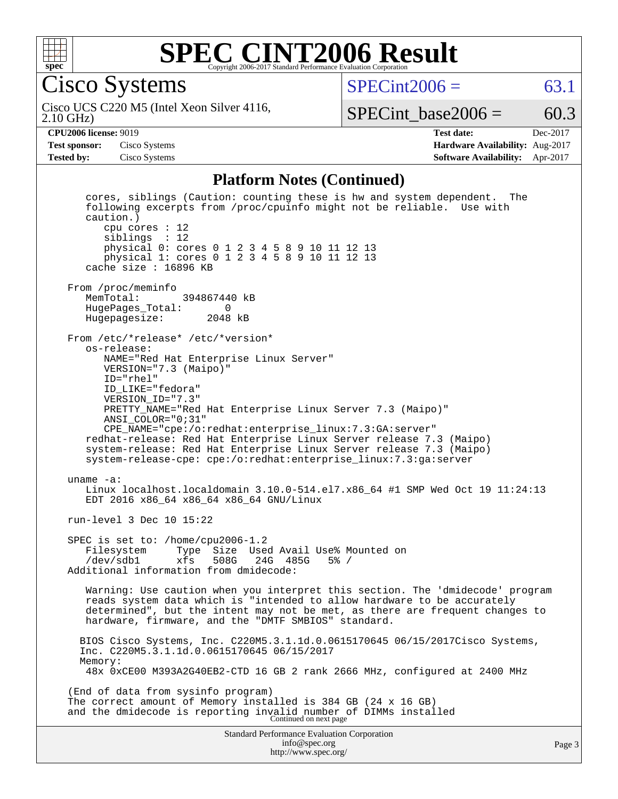

Cisco Systems

 $SPECint2006 = 63.1$  $SPECint2006 = 63.1$ 

2.10 GHz) Cisco UCS C220 M5 (Intel Xeon Silver 4116,

SPECint base2006 =  $60.3$ 

**[Test sponsor:](http://www.spec.org/auto/cpu2006/Docs/result-fields.html#Testsponsor)** Cisco Systems **[Hardware Availability:](http://www.spec.org/auto/cpu2006/Docs/result-fields.html#HardwareAvailability)** Aug-2017

**[CPU2006 license:](http://www.spec.org/auto/cpu2006/Docs/result-fields.html#CPU2006license)** 9019 **[Test date:](http://www.spec.org/auto/cpu2006/Docs/result-fields.html#Testdate)** Dec-2017 **[Tested by:](http://www.spec.org/auto/cpu2006/Docs/result-fields.html#Testedby)** Cisco Systems **[Software Availability:](http://www.spec.org/auto/cpu2006/Docs/result-fields.html#SoftwareAvailability)** Apr-2017

#### **[Platform Notes \(Continued\)](http://www.spec.org/auto/cpu2006/Docs/result-fields.html#PlatformNotes)**

Standard Performance Evaluation Corporation [info@spec.org](mailto:info@spec.org) <http://www.spec.org/> Page 3 cores, siblings (Caution: counting these is hw and system dependent. The following excerpts from /proc/cpuinfo might not be reliable. Use with caution.) cpu cores : 12 siblings : 12 physical 0: cores 0 1 2 3 4 5 8 9 10 11 12 13 physical 1: cores 0 1 2 3 4 5 8 9 10 11 12 13 cache size : 16896 KB From /proc/meminfo<br>MemTotal: 394867440 kB HugePages\_Total: 0 Hugepagesize: 2048 kB From /etc/\*release\* /etc/\*version\* os-release: NAME="Red Hat Enterprise Linux Server" VERSION="7.3 (Maipo)" ID="rhel" ID\_LIKE="fedora" VERSION\_ID="7.3" PRETTY\_NAME="Red Hat Enterprise Linux Server 7.3 (Maipo)" ANSI\_COLOR="0;31" CPE\_NAME="cpe:/o:redhat:enterprise\_linux:7.3:GA:server" redhat-release: Red Hat Enterprise Linux Server release 7.3 (Maipo) system-release: Red Hat Enterprise Linux Server release 7.3 (Maipo) system-release-cpe: cpe:/o:redhat:enterprise\_linux:7.3:ga:server uname -a: Linux localhost.localdomain 3.10.0-514.el7.x86\_64 #1 SMP Wed Oct 19 11:24:13 EDT 2016 x86\_64 x86\_64 x86\_64 GNU/Linux run-level 3 Dec 10 15:22 SPEC is set to: /home/cpu2006-1.2 Filesystem Type Size Used Avail Use% Mounted on<br>/dev/sdb1 xfs 508G 24G 485G 5% / /dev/sdb1 xfs 508G 24G 485G 5% / Additional information from dmidecode: Warning: Use caution when you interpret this section. The 'dmidecode' program reads system data which is "intended to allow hardware to be accurately determined", but the intent may not be met, as there are frequent changes to hardware, firmware, and the "DMTF SMBIOS" standard. BIOS Cisco Systems, Inc. C220M5.3.1.1d.0.0615170645 06/15/2017Cisco Systems, Inc. C220M5.3.1.1d.0.0615170645 06/15/2017 Memory: 48x 0xCE00 M393A2G40EB2-CTD 16 GB 2 rank 2666 MHz, configured at 2400 MHz (End of data from sysinfo program) The correct amount of Memory installed is 384 GB (24 x 16 GB) and the dmidecode is reporting invalid number of DIMMs installed Continued on next page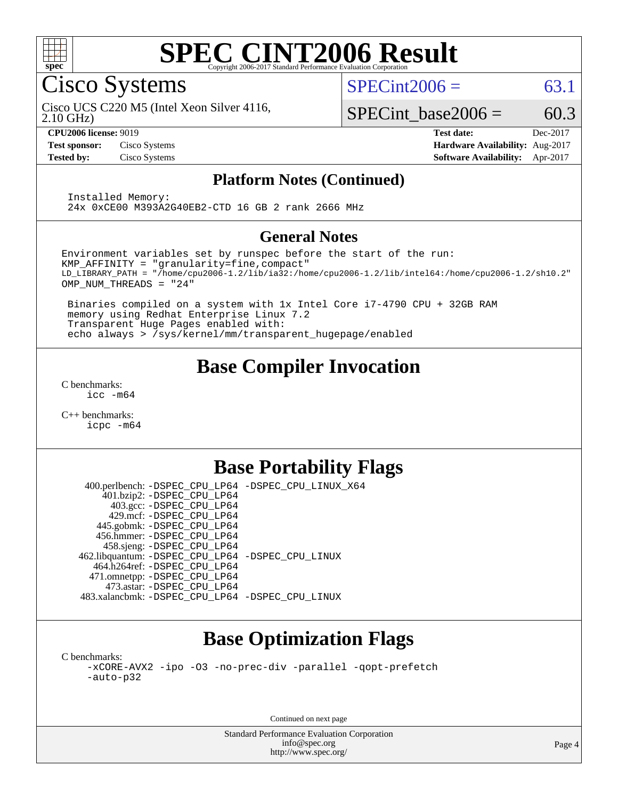

Cisco Systems

 $SPECint2006 = 63.1$  $SPECint2006 = 63.1$ 

2.10 GHz) Cisco UCS C220 M5 (Intel Xeon Silver 4116,

SPECint base2006 =  $60.3$ 

**[CPU2006 license:](http://www.spec.org/auto/cpu2006/Docs/result-fields.html#CPU2006license)** 9019 **[Test date:](http://www.spec.org/auto/cpu2006/Docs/result-fields.html#Testdate)** Dec-2017 **[Test sponsor:](http://www.spec.org/auto/cpu2006/Docs/result-fields.html#Testsponsor)** Cisco Systems **[Hardware Availability:](http://www.spec.org/auto/cpu2006/Docs/result-fields.html#HardwareAvailability)** Aug-2017 **[Tested by:](http://www.spec.org/auto/cpu2006/Docs/result-fields.html#Testedby)** Cisco Systems **[Software Availability:](http://www.spec.org/auto/cpu2006/Docs/result-fields.html#SoftwareAvailability)** Apr-2017

#### **[Platform Notes \(Continued\)](http://www.spec.org/auto/cpu2006/Docs/result-fields.html#PlatformNotes)**

 Installed Memory: 24x 0xCE00 M393A2G40EB2-CTD 16 GB 2 rank 2666 MHz

#### **[General Notes](http://www.spec.org/auto/cpu2006/Docs/result-fields.html#GeneralNotes)**

Environment variables set by runspec before the start of the run: KMP\_AFFINITY = "granularity=fine,compact" LD\_LIBRARY\_PATH = "/home/cpu2006-1.2/lib/ia32:/home/cpu2006-1.2/lib/intel64:/home/cpu2006-1.2/sh10.2" OMP\_NUM\_THREADS = "24"

 Binaries compiled on a system with 1x Intel Core i7-4790 CPU + 32GB RAM memory using Redhat Enterprise Linux 7.2 Transparent Huge Pages enabled with: echo always > /sys/kernel/mm/transparent\_hugepage/enabled

## **[Base Compiler Invocation](http://www.spec.org/auto/cpu2006/Docs/result-fields.html#BaseCompilerInvocation)**

[C benchmarks](http://www.spec.org/auto/cpu2006/Docs/result-fields.html#Cbenchmarks): [icc -m64](http://www.spec.org/cpu2006/results/res2017q4/cpu2006-20171211-50991.flags.html#user_CCbase_intel_icc_64bit_bda6cc9af1fdbb0edc3795bac97ada53)

[C++ benchmarks:](http://www.spec.org/auto/cpu2006/Docs/result-fields.html#CXXbenchmarks) [icpc -m64](http://www.spec.org/cpu2006/results/res2017q4/cpu2006-20171211-50991.flags.html#user_CXXbase_intel_icpc_64bit_fc66a5337ce925472a5c54ad6a0de310)

## **[Base Portability Flags](http://www.spec.org/auto/cpu2006/Docs/result-fields.html#BasePortabilityFlags)**

 400.perlbench: [-DSPEC\\_CPU\\_LP64](http://www.spec.org/cpu2006/results/res2017q4/cpu2006-20171211-50991.flags.html#b400.perlbench_basePORTABILITY_DSPEC_CPU_LP64) [-DSPEC\\_CPU\\_LINUX\\_X64](http://www.spec.org/cpu2006/results/res2017q4/cpu2006-20171211-50991.flags.html#b400.perlbench_baseCPORTABILITY_DSPEC_CPU_LINUX_X64) 401.bzip2: [-DSPEC\\_CPU\\_LP64](http://www.spec.org/cpu2006/results/res2017q4/cpu2006-20171211-50991.flags.html#suite_basePORTABILITY401_bzip2_DSPEC_CPU_LP64) 403.gcc: [-DSPEC\\_CPU\\_LP64](http://www.spec.org/cpu2006/results/res2017q4/cpu2006-20171211-50991.flags.html#suite_basePORTABILITY403_gcc_DSPEC_CPU_LP64) 429.mcf: [-DSPEC\\_CPU\\_LP64](http://www.spec.org/cpu2006/results/res2017q4/cpu2006-20171211-50991.flags.html#suite_basePORTABILITY429_mcf_DSPEC_CPU_LP64) 445.gobmk: [-DSPEC\\_CPU\\_LP64](http://www.spec.org/cpu2006/results/res2017q4/cpu2006-20171211-50991.flags.html#suite_basePORTABILITY445_gobmk_DSPEC_CPU_LP64) 456.hmmer: [-DSPEC\\_CPU\\_LP64](http://www.spec.org/cpu2006/results/res2017q4/cpu2006-20171211-50991.flags.html#suite_basePORTABILITY456_hmmer_DSPEC_CPU_LP64) 458.sjeng: [-DSPEC\\_CPU\\_LP64](http://www.spec.org/cpu2006/results/res2017q4/cpu2006-20171211-50991.flags.html#suite_basePORTABILITY458_sjeng_DSPEC_CPU_LP64) 462.libquantum: [-DSPEC\\_CPU\\_LP64](http://www.spec.org/cpu2006/results/res2017q4/cpu2006-20171211-50991.flags.html#suite_basePORTABILITY462_libquantum_DSPEC_CPU_LP64) [-DSPEC\\_CPU\\_LINUX](http://www.spec.org/cpu2006/results/res2017q4/cpu2006-20171211-50991.flags.html#b462.libquantum_baseCPORTABILITY_DSPEC_CPU_LINUX) 464.h264ref: [-DSPEC\\_CPU\\_LP64](http://www.spec.org/cpu2006/results/res2017q4/cpu2006-20171211-50991.flags.html#suite_basePORTABILITY464_h264ref_DSPEC_CPU_LP64) 471.omnetpp: [-DSPEC\\_CPU\\_LP64](http://www.spec.org/cpu2006/results/res2017q4/cpu2006-20171211-50991.flags.html#suite_basePORTABILITY471_omnetpp_DSPEC_CPU_LP64) 473.astar: [-DSPEC\\_CPU\\_LP64](http://www.spec.org/cpu2006/results/res2017q4/cpu2006-20171211-50991.flags.html#suite_basePORTABILITY473_astar_DSPEC_CPU_LP64) 483.xalancbmk: [-DSPEC\\_CPU\\_LP64](http://www.spec.org/cpu2006/results/res2017q4/cpu2006-20171211-50991.flags.html#suite_basePORTABILITY483_xalancbmk_DSPEC_CPU_LP64) [-DSPEC\\_CPU\\_LINUX](http://www.spec.org/cpu2006/results/res2017q4/cpu2006-20171211-50991.flags.html#b483.xalancbmk_baseCXXPORTABILITY_DSPEC_CPU_LINUX)

# **[Base Optimization Flags](http://www.spec.org/auto/cpu2006/Docs/result-fields.html#BaseOptimizationFlags)**

[C benchmarks](http://www.spec.org/auto/cpu2006/Docs/result-fields.html#Cbenchmarks): [-xCORE-AVX2](http://www.spec.org/cpu2006/results/res2017q4/cpu2006-20171211-50991.flags.html#user_CCbase_f-xCORE-AVX2) [-ipo](http://www.spec.org/cpu2006/results/res2017q4/cpu2006-20171211-50991.flags.html#user_CCbase_f-ipo) [-O3](http://www.spec.org/cpu2006/results/res2017q4/cpu2006-20171211-50991.flags.html#user_CCbase_f-O3) [-no-prec-div](http://www.spec.org/cpu2006/results/res2017q4/cpu2006-20171211-50991.flags.html#user_CCbase_f-no-prec-div) [-parallel](http://www.spec.org/cpu2006/results/res2017q4/cpu2006-20171211-50991.flags.html#user_CCbase_f-parallel) [-qopt-prefetch](http://www.spec.org/cpu2006/results/res2017q4/cpu2006-20171211-50991.flags.html#user_CCbase_f-qopt-prefetch) [-auto-p32](http://www.spec.org/cpu2006/results/res2017q4/cpu2006-20171211-50991.flags.html#user_CCbase_f-auto-p32)

Continued on next page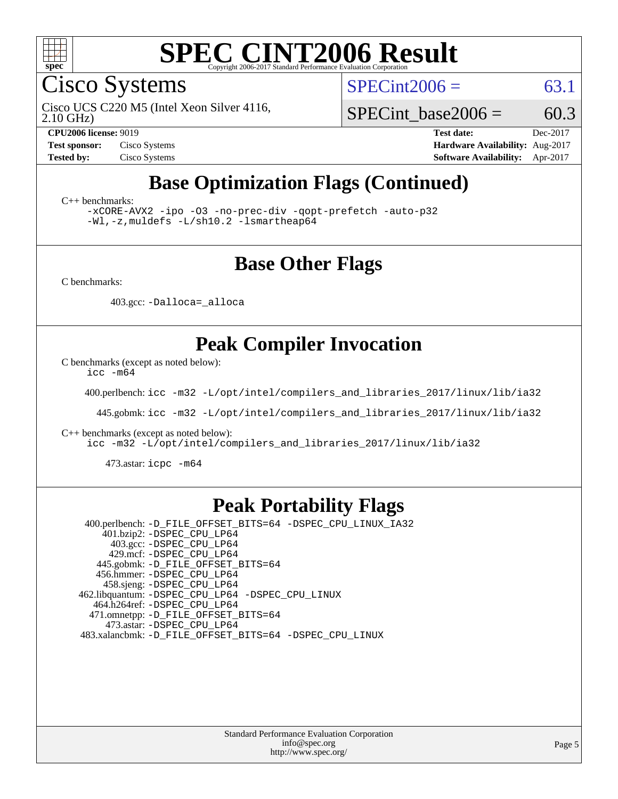

Cisco Systems

 $SPECint2006 = 63.1$  $SPECint2006 = 63.1$ 

2.10 GHz) Cisco UCS C220 M5 (Intel Xeon Silver 4116,

SPECint base2006 =  $60.3$ 

**[CPU2006 license:](http://www.spec.org/auto/cpu2006/Docs/result-fields.html#CPU2006license)** 9019 **[Test date:](http://www.spec.org/auto/cpu2006/Docs/result-fields.html#Testdate)** Dec-2017 **[Test sponsor:](http://www.spec.org/auto/cpu2006/Docs/result-fields.html#Testsponsor)** Cisco Systems **[Hardware Availability:](http://www.spec.org/auto/cpu2006/Docs/result-fields.html#HardwareAvailability)** Aug-2017 **[Tested by:](http://www.spec.org/auto/cpu2006/Docs/result-fields.html#Testedby)** Cisco Systems **[Software Availability:](http://www.spec.org/auto/cpu2006/Docs/result-fields.html#SoftwareAvailability)** Apr-2017

## **[Base Optimization Flags \(Continued\)](http://www.spec.org/auto/cpu2006/Docs/result-fields.html#BaseOptimizationFlags)**

[C++ benchmarks:](http://www.spec.org/auto/cpu2006/Docs/result-fields.html#CXXbenchmarks)

[-xCORE-AVX2](http://www.spec.org/cpu2006/results/res2017q4/cpu2006-20171211-50991.flags.html#user_CXXbase_f-xCORE-AVX2) [-ipo](http://www.spec.org/cpu2006/results/res2017q4/cpu2006-20171211-50991.flags.html#user_CXXbase_f-ipo) [-O3](http://www.spec.org/cpu2006/results/res2017q4/cpu2006-20171211-50991.flags.html#user_CXXbase_f-O3) [-no-prec-div](http://www.spec.org/cpu2006/results/res2017q4/cpu2006-20171211-50991.flags.html#user_CXXbase_f-no-prec-div) [-qopt-prefetch](http://www.spec.org/cpu2006/results/res2017q4/cpu2006-20171211-50991.flags.html#user_CXXbase_f-qopt-prefetch) [-auto-p32](http://www.spec.org/cpu2006/results/res2017q4/cpu2006-20171211-50991.flags.html#user_CXXbase_f-auto-p32) [-Wl,-z,muldefs](http://www.spec.org/cpu2006/results/res2017q4/cpu2006-20171211-50991.flags.html#user_CXXbase_link_force_multiple1_74079c344b956b9658436fd1b6dd3a8a) [-L/sh10.2 -lsmartheap64](http://www.spec.org/cpu2006/results/res2017q4/cpu2006-20171211-50991.flags.html#user_CXXbase_SmartHeap64_63911d860fc08c15fa1d5bf319b9d8d5)

### **[Base Other Flags](http://www.spec.org/auto/cpu2006/Docs/result-fields.html#BaseOtherFlags)**

[C benchmarks](http://www.spec.org/auto/cpu2006/Docs/result-fields.html#Cbenchmarks):

403.gcc: [-Dalloca=\\_alloca](http://www.spec.org/cpu2006/results/res2017q4/cpu2006-20171211-50991.flags.html#b403.gcc_baseEXTRA_CFLAGS_Dalloca_be3056838c12de2578596ca5467af7f3)

## **[Peak Compiler Invocation](http://www.spec.org/auto/cpu2006/Docs/result-fields.html#PeakCompilerInvocation)**

[C benchmarks \(except as noted below\)](http://www.spec.org/auto/cpu2006/Docs/result-fields.html#Cbenchmarksexceptasnotedbelow):

[icc -m64](http://www.spec.org/cpu2006/results/res2017q4/cpu2006-20171211-50991.flags.html#user_CCpeak_intel_icc_64bit_bda6cc9af1fdbb0edc3795bac97ada53)

400.perlbench: [icc -m32 -L/opt/intel/compilers\\_and\\_libraries\\_2017/linux/lib/ia32](http://www.spec.org/cpu2006/results/res2017q4/cpu2006-20171211-50991.flags.html#user_peakCCLD400_perlbench_intel_icc_c29f3ff5a7ed067b11e4ec10a03f03ae)

445.gobmk: [icc -m32 -L/opt/intel/compilers\\_and\\_libraries\\_2017/linux/lib/ia32](http://www.spec.org/cpu2006/results/res2017q4/cpu2006-20171211-50991.flags.html#user_peakCCLD445_gobmk_intel_icc_c29f3ff5a7ed067b11e4ec10a03f03ae)

[C++ benchmarks \(except as noted below\):](http://www.spec.org/auto/cpu2006/Docs/result-fields.html#CXXbenchmarksexceptasnotedbelow)

[icc -m32 -L/opt/intel/compilers\\_and\\_libraries\\_2017/linux/lib/ia32](http://www.spec.org/cpu2006/results/res2017q4/cpu2006-20171211-50991.flags.html#user_CXXpeak_intel_icc_c29f3ff5a7ed067b11e4ec10a03f03ae)

473.astar: [icpc -m64](http://www.spec.org/cpu2006/results/res2017q4/cpu2006-20171211-50991.flags.html#user_peakCXXLD473_astar_intel_icpc_64bit_fc66a5337ce925472a5c54ad6a0de310)

#### **[Peak Portability Flags](http://www.spec.org/auto/cpu2006/Docs/result-fields.html#PeakPortabilityFlags)**

 400.perlbench: [-D\\_FILE\\_OFFSET\\_BITS=64](http://www.spec.org/cpu2006/results/res2017q4/cpu2006-20171211-50991.flags.html#user_peakPORTABILITY400_perlbench_file_offset_bits_64_438cf9856305ebd76870a2c6dc2689ab) [-DSPEC\\_CPU\\_LINUX\\_IA32](http://www.spec.org/cpu2006/results/res2017q4/cpu2006-20171211-50991.flags.html#b400.perlbench_peakCPORTABILITY_DSPEC_CPU_LINUX_IA32) 401.bzip2: [-DSPEC\\_CPU\\_LP64](http://www.spec.org/cpu2006/results/res2017q4/cpu2006-20171211-50991.flags.html#suite_peakPORTABILITY401_bzip2_DSPEC_CPU_LP64) 403.gcc: [-DSPEC\\_CPU\\_LP64](http://www.spec.org/cpu2006/results/res2017q4/cpu2006-20171211-50991.flags.html#suite_peakPORTABILITY403_gcc_DSPEC_CPU_LP64) 429.mcf: [-DSPEC\\_CPU\\_LP64](http://www.spec.org/cpu2006/results/res2017q4/cpu2006-20171211-50991.flags.html#suite_peakPORTABILITY429_mcf_DSPEC_CPU_LP64) 445.gobmk: [-D\\_FILE\\_OFFSET\\_BITS=64](http://www.spec.org/cpu2006/results/res2017q4/cpu2006-20171211-50991.flags.html#user_peakPORTABILITY445_gobmk_file_offset_bits_64_438cf9856305ebd76870a2c6dc2689ab) 456.hmmer: [-DSPEC\\_CPU\\_LP64](http://www.spec.org/cpu2006/results/res2017q4/cpu2006-20171211-50991.flags.html#suite_peakPORTABILITY456_hmmer_DSPEC_CPU_LP64) 458.sjeng: [-DSPEC\\_CPU\\_LP64](http://www.spec.org/cpu2006/results/res2017q4/cpu2006-20171211-50991.flags.html#suite_peakPORTABILITY458_sjeng_DSPEC_CPU_LP64) 462.libquantum: [-DSPEC\\_CPU\\_LP64](http://www.spec.org/cpu2006/results/res2017q4/cpu2006-20171211-50991.flags.html#suite_peakPORTABILITY462_libquantum_DSPEC_CPU_LP64) [-DSPEC\\_CPU\\_LINUX](http://www.spec.org/cpu2006/results/res2017q4/cpu2006-20171211-50991.flags.html#b462.libquantum_peakCPORTABILITY_DSPEC_CPU_LINUX) 464.h264ref: [-DSPEC\\_CPU\\_LP64](http://www.spec.org/cpu2006/results/res2017q4/cpu2006-20171211-50991.flags.html#suite_peakPORTABILITY464_h264ref_DSPEC_CPU_LP64) 471.omnetpp: [-D\\_FILE\\_OFFSET\\_BITS=64](http://www.spec.org/cpu2006/results/res2017q4/cpu2006-20171211-50991.flags.html#user_peakPORTABILITY471_omnetpp_file_offset_bits_64_438cf9856305ebd76870a2c6dc2689ab) 473.astar: [-DSPEC\\_CPU\\_LP64](http://www.spec.org/cpu2006/results/res2017q4/cpu2006-20171211-50991.flags.html#suite_peakPORTABILITY473_astar_DSPEC_CPU_LP64) 483.xalancbmk: [-D\\_FILE\\_OFFSET\\_BITS=64](http://www.spec.org/cpu2006/results/res2017q4/cpu2006-20171211-50991.flags.html#user_peakPORTABILITY483_xalancbmk_file_offset_bits_64_438cf9856305ebd76870a2c6dc2689ab) [-DSPEC\\_CPU\\_LINUX](http://www.spec.org/cpu2006/results/res2017q4/cpu2006-20171211-50991.flags.html#b483.xalancbmk_peakCXXPORTABILITY_DSPEC_CPU_LINUX)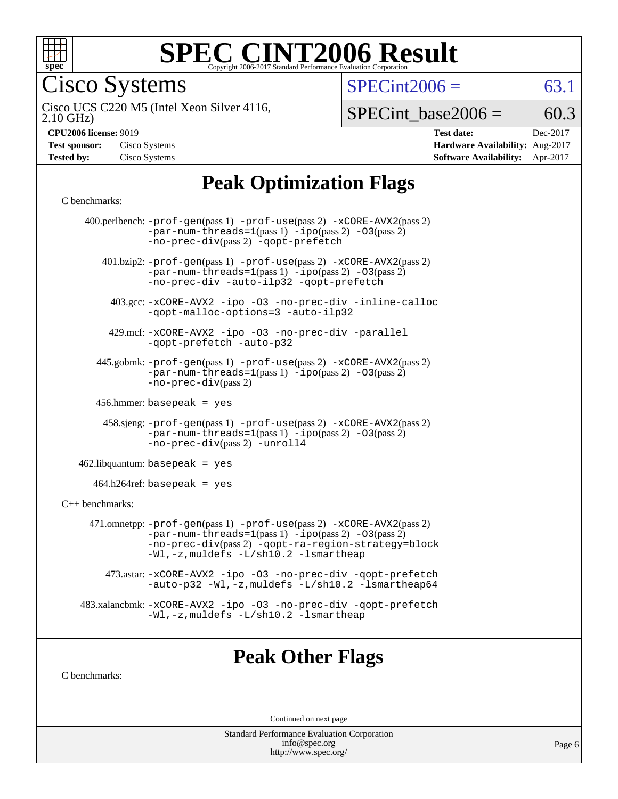

Cisco Systems

 $SPECTnt2006 = 63.1$ 

2.10 GHz) Cisco UCS C220 M5 (Intel Xeon Silver 4116,

 $SPECTnt\_base2006 = 60.3$ 

| <b>Test sponsor:</b> | Cisco Systems |
|----------------------|---------------|
| <b>Tested by:</b>    | Cisco Systems |

**[CPU2006 license:](http://www.spec.org/auto/cpu2006/Docs/result-fields.html#CPU2006license)** 9019 **[Test date:](http://www.spec.org/auto/cpu2006/Docs/result-fields.html#Testdate)** Dec-2017 **[Hardware Availability:](http://www.spec.org/auto/cpu2006/Docs/result-fields.html#HardwareAvailability)** Aug-2017 **[Software Availability:](http://www.spec.org/auto/cpu2006/Docs/result-fields.html#SoftwareAvailability)** Apr-2017

# **[Peak Optimization Flags](http://www.spec.org/auto/cpu2006/Docs/result-fields.html#PeakOptimizationFlags)**

#### [C benchmarks](http://www.spec.org/auto/cpu2006/Docs/result-fields.html#Cbenchmarks):

| 400.perlbench: -prof-gen(pass 1) -prof-use(pass 2) -xCORE-AVX2(pass 2)<br>-par-num-threads=1(pass 1) -ipo(pass 2) -03(pass 2)<br>-no-prec-div(pass 2) -qopt-prefetch<br>$401 \text{.}$ bzip2: -prof-gen(pass 1) -prof-use(pass 2) -xCORE-AVX2(pass 2)<br>$-par-num-threads=1(pass 1) -ipo(pass 2) -03(pass 2)$<br>-no-prec-div -auto-ilp32 -qopt-prefetch<br>403.gcc: -xCORE-AVX2 -ipo -03 -no-prec-div -inline-calloc<br>-qopt-malloc-options=3 -auto-ilp32<br>429.mcf: -xCORE-AVX2 -ipo -03 -no-prec-div -parallel<br>-gopt-prefetch -auto-p32<br>445.gobmk: -prof-gen(pass 1) -prof-use(pass 2) -xCORE-AVX2(pass 2)<br>$-par-num-threads=1(pass 1) -ipo(pass 2) -03(pass 2)$<br>-no-prec-div(pass 2)<br>$456.$ hmmer: basepeak = yes<br>$458 \text{.}$ sjeng: $-\text{prof-gen(pass 1)} - \text{prof-use(pass 2)} - \text{xCORE-AVX2(pass 2)}$<br>$-par-num-threads=1(pass 1) -ipo(pass 2) -03(pass 2)$<br>-no-prec-div(pass 2) -unroll4<br>$462$ .libquantum: basepeak = yes<br>$464.h264 \text{ref}$ : basepeak = yes<br>$C++$ benchmarks:<br>471.omnetpp: $-prof-gen(pass 1)$ $-prof-use(pass 2)$ $-xCORE-AVX2(pass 2)$<br>$-par-num-threads=1(pass 1) -ipo(pass 2) -03(pass 2)$<br>-no-prec-div(pass 2) -qopt-ra-region-strategy=block<br>-Wl,-z, muldefs -L/sh10.2 -lsmartheap<br>473.astar: -xCORE-AVX2 -ipo -03 -no-prec-div -qopt-prefetch<br>-auto-p32 -Wl,-z, muldefs -L/sh10.2 -lsmartheap64<br>483.xalancbmk: -xCORE-AVX2 -ipo -03 -no-prec-div -qopt-prefetch<br>-Wl,-z, muldefs -L/sh10.2 -lsmartheap |  |
|------------------------------------------------------------------------------------------------------------------------------------------------------------------------------------------------------------------------------------------------------------------------------------------------------------------------------------------------------------------------------------------------------------------------------------------------------------------------------------------------------------------------------------------------------------------------------------------------------------------------------------------------------------------------------------------------------------------------------------------------------------------------------------------------------------------------------------------------------------------------------------------------------------------------------------------------------------------------------------------------------------------------------------------------------------------------------------------------------------------------------------------------------------------------------------------------------------------------------------------------------------------------------------------------------------------------------------------------------------------------------------------------------------------------------------------------------------------------------------------------------------------------|--|
|                                                                                                                                                                                                                                                                                                                                                                                                                                                                                                                                                                                                                                                                                                                                                                                                                                                                                                                                                                                                                                                                                                                                                                                                                                                                                                                                                                                                                                                                                                                        |  |
|                                                                                                                                                                                                                                                                                                                                                                                                                                                                                                                                                                                                                                                                                                                                                                                                                                                                                                                                                                                                                                                                                                                                                                                                                                                                                                                                                                                                                                                                                                                        |  |
|                                                                                                                                                                                                                                                                                                                                                                                                                                                                                                                                                                                                                                                                                                                                                                                                                                                                                                                                                                                                                                                                                                                                                                                                                                                                                                                                                                                                                                                                                                                        |  |
|                                                                                                                                                                                                                                                                                                                                                                                                                                                                                                                                                                                                                                                                                                                                                                                                                                                                                                                                                                                                                                                                                                                                                                                                                                                                                                                                                                                                                                                                                                                        |  |
|                                                                                                                                                                                                                                                                                                                                                                                                                                                                                                                                                                                                                                                                                                                                                                                                                                                                                                                                                                                                                                                                                                                                                                                                                                                                                                                                                                                                                                                                                                                        |  |
|                                                                                                                                                                                                                                                                                                                                                                                                                                                                                                                                                                                                                                                                                                                                                                                                                                                                                                                                                                                                                                                                                                                                                                                                                                                                                                                                                                                                                                                                                                                        |  |
|                                                                                                                                                                                                                                                                                                                                                                                                                                                                                                                                                                                                                                                                                                                                                                                                                                                                                                                                                                                                                                                                                                                                                                                                                                                                                                                                                                                                                                                                                                                        |  |
|                                                                                                                                                                                                                                                                                                                                                                                                                                                                                                                                                                                                                                                                                                                                                                                                                                                                                                                                                                                                                                                                                                                                                                                                                                                                                                                                                                                                                                                                                                                        |  |
|                                                                                                                                                                                                                                                                                                                                                                                                                                                                                                                                                                                                                                                                                                                                                                                                                                                                                                                                                                                                                                                                                                                                                                                                                                                                                                                                                                                                                                                                                                                        |  |
|                                                                                                                                                                                                                                                                                                                                                                                                                                                                                                                                                                                                                                                                                                                                                                                                                                                                                                                                                                                                                                                                                                                                                                                                                                                                                                                                                                                                                                                                                                                        |  |
|                                                                                                                                                                                                                                                                                                                                                                                                                                                                                                                                                                                                                                                                                                                                                                                                                                                                                                                                                                                                                                                                                                                                                                                                                                                                                                                                                                                                                                                                                                                        |  |
|                                                                                                                                                                                                                                                                                                                                                                                                                                                                                                                                                                                                                                                                                                                                                                                                                                                                                                                                                                                                                                                                                                                                                                                                                                                                                                                                                                                                                                                                                                                        |  |
|                                                                                                                                                                                                                                                                                                                                                                                                                                                                                                                                                                                                                                                                                                                                                                                                                                                                                                                                                                                                                                                                                                                                                                                                                                                                                                                                                                                                                                                                                                                        |  |
|                                                                                                                                                                                                                                                                                                                                                                                                                                                                                                                                                                                                                                                                                                                                                                                                                                                                                                                                                                                                                                                                                                                                                                                                                                                                                                                                                                                                                                                                                                                        |  |

### **[Peak Other Flags](http://www.spec.org/auto/cpu2006/Docs/result-fields.html#PeakOtherFlags)**

[C benchmarks](http://www.spec.org/auto/cpu2006/Docs/result-fields.html#Cbenchmarks):

Continued on next page